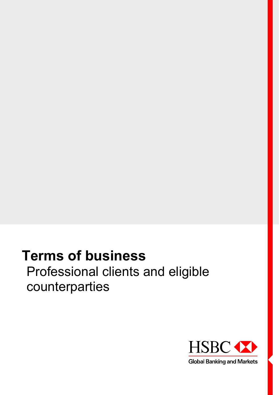# **Terms of business** Professional clients and eligible counterparties

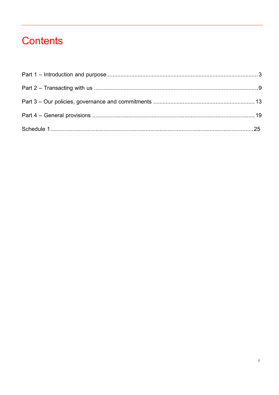## **Contents**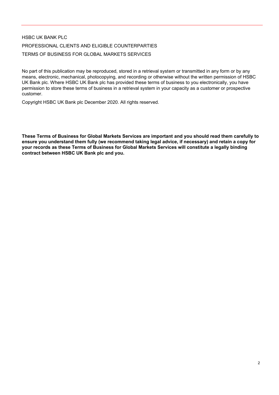### HSBC UK BANK PLC PROFESSIONAL CLIENTS AND ELIGIBLE COUNTERPARTIES TERMS OF BUSINESS FOR GLOBAL MARKETS SERVICES

No part of this publication may be reproduced, stored in a retrieval system or transmitted in any form or by any means, electronic, mechanical, photocopying, and recording or otherwise without the written permission of HSBC UK Bank plc. Where HSBC UK Bank plc has provided these terms of business to you electronically, you have permission to store these terms of business in a retrieval system in your capacity as a customer or prospective customer.

Copyright HSBC UK Bank plc December 2020. All rights reserved.

**These Terms of Business for Global Markets Services are important and you should read them carefully to ensure you understand them fully (we recommend taking legal advice, if necessary) and retain a copy for your records as these Terms of Business for Global Markets Services will constitute a legally binding contract between HSBC UK Bank plc and you.**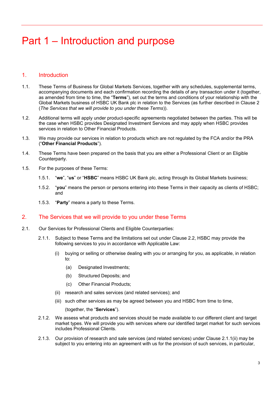### <span id="page-3-0"></span>Part 1 – Introduction and purpose

#### 1. Introduction

- 1.1. These Terms of Business for Global Markets Services, together with any schedules, supplemental terms, accompanying documents and each confirmation recording the details of any transaction under it (together, as amended from time to time, the "**Terms**"), set out the terms and conditions of your relationship with the Global Markets business of HSBC UK Bank plc in relation to the Services (as further described in Clause 2 (*The Services that we will provide to you under these Terms*)).
- 1.2. Additional terms will apply under product-specific agreements negotiated between the parties. This will be the case when HSBC provides Designated Investment Services and may apply when HSBC provides services in relation to Other Financial Products.
- 1.3. We may provide our services in relation to products which are not regulated by the FCA and/or the PRA ("**Other Financial Products**").
- 1.4. These Terms have been prepared on the basis that you are either a Professional Client or an Eligible Counterparty.
- 1.5. For the purposes of these Terms:
	- 1.5.1. "**we**", "**us**" or "**HSBC**" means HSBC UK Bank plc, acting through its Global Markets business;
	- 1.5.2. "**you**" means the person or persons entering into these Terms in their capacity as clients of HSBC; and
	- 1.5.3. "**Party**" means a party to these Terms.

#### 2. The Services that we will provide to you under these Terms

- 2.1. Our Services for Professional Clients and Eligible Counterparties:
	- 2.1.1. Subject to these Terms and the limitations set out under Clause 2.2, HSBC may provide the following services to you in accordance with Applicable Law:
		- (i) buying or selling or otherwise dealing with you or arranging for you, as applicable, in relation to:
			- (a) Designated Investments;
			- (b) Structured Deposits; and
			- (c) Other Financial Products;
		- (ii) research and sales services (and related services); and
		- (iii) such other services as may be agreed between you and HSBC from time to time,

(together, the "**Services**").

- 2.1.2. We assess what products and services should be made available to our different client and target market types. We will provide you with services where our identified target market for such services includes Professional Clients.
- 2.1.3. Our provision of research and sale services (and related services) under Clause 2.1.1(ii) may be subject to you entering into an agreement with us for the provision of such services, in particular,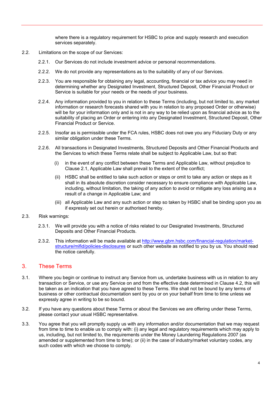where there is a regulatory requirement for HSBC to price and supply research and execution services separately.

- 2.2. Limitations on the scope of our Services:
	- 2.2.1. Our Services do not include investment advice or personal recommendations.
	- 2.2.2. We do not provide any representations as to the suitability of any of our Services.
	- 2.2.3. You are responsible for obtaining any legal, accounting, financial or tax advice you may need in determining whether any Designated Investment, Structured Deposit, Other Financial Product or Service is suitable for your needs or the needs of your business.
	- 2.2.4. Any information provided to you in relation to these Terms (including, but not limited to, any market information or research forecasts shared with you in relation to any proposed Order or otherwise) will be for your information only and is not in any way to be relied upon as financial advice as to the suitability of placing an Order or entering into any Designated Investment, Structured Deposit, Other Financial Product or Service.
	- 2.2.5. Insofar as is permissible under the FCA rules, HSBC does not owe you any Fiduciary Duty or any similar obligation under these Terms.
	- 2.2.6. All transactions in Designated Investments, Structured Deposits and Other Financial Products and the Services to which these Terms relate shall be subject to Applicable Law, but so that:
		- (i) in the event of any conflict between these Terms and Applicable Law, without prejudice to Clause 2.1, Applicable Law shall prevail to the extent of the conflict;
		- (ii) HSBC shall be entitled to take such action or steps or omit to take any action or steps as it shall in its absolute discretion consider necessary to ensure compliance with Applicable Law, including, without limitation, the taking of any action to avoid or mitigate any loss arising as a result of a change in Applicable Law; and
		- (iii) all Applicable Law and any such action or step so taken by HSBC shall be binding upon you as if expressly set out herein or authorised hereby.
- 2.3. Risk warnings:
	- 2.3.1. We will provide you with a notice of risks related to our Designated Investments, Structured Deposits and Other Financial Products.
	- 2.3.2. This information will be made available at [http://www.gbm.hsbc.com/financial-regulation/market](http://www.gbm.hsbc.com/financial-regulation/market-structure/mifid/policies-disclosures)[structure/mifid/policies-disclosures](http://www.gbm.hsbc.com/financial-regulation/market-structure/mifid/policies-disclosures) or such other website as notified to you by us. You should read the notice carefully.

#### 3. These Terms

- 3.1. Where you begin or continue to instruct any Service from us, undertake business with us in relation to any transaction or Service, or use any Service on and from the effective date determined in Clause 4.2, this will be taken as an indication that you have agreed to these Terms. We shall not be bound by any terms of business or other contractual documentation sent by you or on your behalf from time to time unless we expressly agree in writing to be so bound.
- 3.2. If you have any questions about these Terms or about the Services we are offering under these Terms, please contact your usual HSBC representative.
- 3.3. You agree that you will promptly supply us with any information and/or documentation that we may request from time to time to enable us to comply with: (i) any legal and regulatory requirements which may apply to us, including, but not limited to, the requirements under the Money Laundering Regulations 2007 (as amended or supplemented from time to time); or (ii) in the case of industry/market voluntary codes, any such codes with which we choose to comply.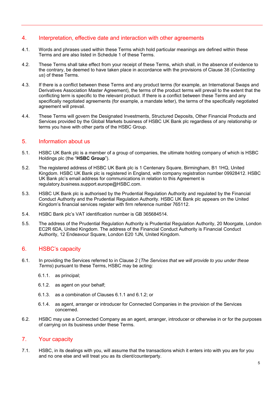#### 4. Interpretation, effective date and interaction with other agreements

- 4.1. Words and phrases used within these Terms which hold particular meanings are defined within these Terms and are also listed in Schedule 1 of these Terms.
- 4.2. These Terms shall take effect from your receipt of these Terms, which shall, in the absence of evidence to the contrary, be deemed to have taken place in accordance with the provisions of Clause 38 (*Contacting us*) of these Terms.
- 4.3. If there is a conflict between these Terms and any product terms (for example, an International Swaps and Derivatives Association Master Agreement), the terms of the product terms will prevail to the extent that the conflicting term is specific to the relevant product. If there is a conflict between these Terms and any specifically negotiated agreements (for example, a mandate letter), the terms of the specifically negotiated agreement will prevail.
- 4.4. These Terms will govern the Designated Investments, Structured Deposits, Other Financial Products and Services provided by the Global Markets business of HSBC UK Bank plc regardless of any relationship or terms you have with other parts of the HSBC Group.

#### 5. Information about us

- 5.1. HSBC UK Bank plc is a member of a group of companies, the ultimate holding company of which is HSBC Holdings plc (the "**HSBC Group**").
- 5.2. The registered address of HSBC UK Bank plc is 1 Centenary Square, Birmingham, B1 1HQ, United Kingdom. HSBC UK Bank plc is registered in England, with company registration number 09928412. HSBC UK Bank plc's email address for communications in relation to this Agreement is regulatory.business.support.europe@HSBC.com.
- 5.3. HSBC UK Bank plc is authorised by the Prudential Regulation Authority and regulated by the Financial Conduct Authority and the Prudential Regulation Authority. HSBC UK Bank plc appears on the United Kingdom's financial services register with firm reference number 765112.
- 5.4. HSBC Bank plc's VAT identification number is GB 365684514.
- 5.5. The address of the Prudential Regulation Authority is Prudential Regulation Authority, 20 Moorgate, London EC2R 6DA, United Kingdom. The address of the Financial Conduct Authority is Financial Conduct Authority, 12 Endeavour Square, London E20 1JN, United Kingdom.

#### 6. HSBC's capacity

- 6.1. In providing the Services referred to in Clause 2 (*The Services that we will provide to you under these Terms*) pursuant to these Terms, HSBC may be acting:
	- 6.1.1. as principal;
	- 6.1.2. as agent on your behalf;
	- 6.1.3. as a combination of Clauses 6.1.1 and 6.1.2; or
	- 6.1.4. as agent, arranger or introducer for Connected Companies in the provision of the Services concerned.
- 6.2. HSBC may use a Connected Company as an agent, arranger, introducer or otherwise in or for the purposes of carrying on its business under these Terms.

#### 7. Your capacity

7.1. HSBC, in its dealings with you, will assume that the transactions which it enters into with you are for you and no one else and will treat you as its client/counterparty.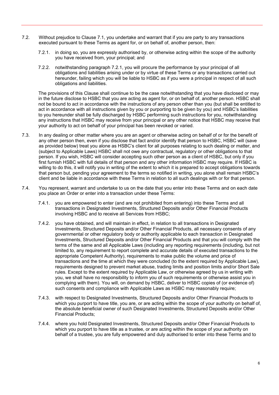- 7.2. Without prejudice to Clause 7.1, you undertake and warrant that if you are party to any transactions executed pursuant to these Terms as agent for, or on behalf of, another person, then:
	- 7.2.1. in doing so, you are expressly authorised by, or otherwise acting within the scope of the authority you have received from, your principal; and
	- 7.2.2. notwithstanding paragraph 7.2.1, you will procure the performance by your principal of all obligations and liabilities arising under or by virtue of these Terms or any transactions carried out hereunder, failing which you will be liable to HSBC as if you were a principal in respect of all such obligations and liabilities.

The provisions of this Clause shall continue to be the case notwithstanding that you have disclosed or may in the future disclose to HSBC that you are acting as agent for, or on behalf of, another person. HSBC shall not be bound to act in accordance with the instructions of any person other than you (but shall be entitled to act in accordance with all instructions given by you or purporting to be given by you) and HSBC's liabilities to you hereunder shall be fully discharged by HSBC performing such instructions for you, notwithstanding any instructions that HSBC may receive from your principal or any other notice that HSBC may receive that your authority to act on behalf of your principal has been revoked or varied.

- 7.3. In any dealing or other matter where you are an agent or otherwise acting on behalf of or for the benefit of any other person then, even if you disclose that fact and/or identify that person to HSBC, HSBC will (save as provided below) treat you alone as HSBC's client for all purposes relating to such dealing or matter, and (subject to Applicable Laws) HSBC shall not owe any contractual, regulatory or other obligations to that person. If you wish, HSBC will consider accepting such other person as a client of HSBC, but only if you first furnish HSBC with full details of that person and any other information HSBC may require. If HSBC is willing to do this, it will notify you in writing of the extent to which it is prepared to accept obligations towards that person but, pending your agreement to the terms so notified in writing, you alone shall remain HSBC's client and be liable in accordance with these Terms in relation to all such dealings with or for that person.
- 7.4. You represent, warrant and undertake to us on the date that you enter into these Terms and on each date you place an Order or enter into a transaction under these Terms:
	- 7.4.1. you are empowered to enter (and are not prohibited from entering) into these Terms and all transactions in Designated Investments, Structured Deposits and/or Other Financial Products involving HSBC and to receive all Services from HSBC;
	- 7.4.2. you have obtained, and will maintain in effect, in relation to all transactions in Designated Investments, Structured Deposits and/or Other Financial Products, all necessary consents of any governmental or other regulatory body or authority applicable to each transaction in Designated Investments, Structured Deposits and/or Other Financial Products and that you will comply with the terms of the same and all Applicable Laws (including any reporting requirements (including, but not limited to, any requirement to report complete and accurate details of executed transactions to the appropriate Competent Authority), requirements to make public the volume and price of transactions and the time at which they were concluded (to the extent required by Applicable Law), requirements designed to prevent market abuse, trading limits and position limits and/or Short Sale rules. Except to the extent required by Applicable Law, or otherwise agreed by us in writing with you, we shall have no responsibility to inform you of such requirements or otherwise assist you in complying with them). You will, on demand by HSBC, deliver to HSBC copies of (or evidence of) such consents and compliance with Applicable Laws as HSBC may reasonably require;
	- 7.4.3. with respect to Designated Investments, Structured Deposits and/or Other Financial Products to which you purport to have title, you are, or are acting within the scope of your authority on behalf of, the absolute beneficial owner of such Designated Investments, Structured Deposits and/or Other Financial Products;
	- 7.4.4. where you hold Designated Investments, Structured Deposits and/or Other Financial Products to which you purport to have title as a trustee, or are acting within the scope of your authority on behalf of a trustee, you are fully empowered and duly authorised to enter into these Terms and to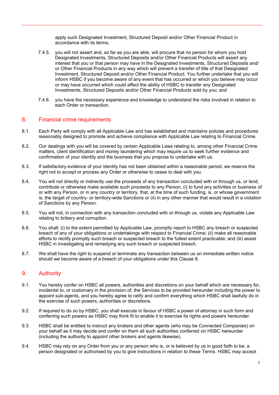apply such Designated Investment, Structured Deposit and/or Other Financial Product in accordance with its terms;

- 7.4.5. you will not assert and, so far as you are able, will procure that no person for whom you hold Designated Investments, Structured Deposits and/or Other Financial Products will assert any interest that you or that person may have in the Designated Investments, Structured Deposits and/ or Other Financial Products in any way which will prevent a transfer of title of that Designated Investment, Structured Deposit and/or Other Financial Product. You further undertake that you will inform HSBC if you become aware of any event that has occurred or which you believe may occur or may have occurred which could affect the ability of HSBC to transfer any Designated Investments, Structured Deposits and/or Other Financial Products sold by you; and
- 7.4.6. you have the necessary experience and knowledge to understand the risks involved in relation to each Order or transaction.

#### 8. Financial crime requirements

- 8.1. Each Party will comply with all Applicable Law and has established and maintains policies and procedures reasonably designed to promote and achieve compliance with Applicable Law relating to Financial Crime.
- 8.2. Our dealings with you will be covered by certain Applicable Laws relating to, among other Financial Crime matters, client identification and money laundering which may require us to seek further evidence and confirmation of your identity and the business that you propose to undertake with us.
- 8.3. If satisfactory evidence of your identity has not been obtained within a reasonable period, we reserve the right not to accept or process any Order or otherwise to cease to deal with you.
- 8.4. You will not directly or indirectly use the proceeds of any transaction concluded with or through us, or lend, contribute or otherwise make available such proceeds to any Person, (i) to fund any activities or business of or with any Person, or in any country or territory, that, at the time of such funding, is, or whose government is, the target of country- or territory-wide Sanctions or (ii) in any other manner that would result in a violation of Sanctions by any Person.
- 8.5. You will not, in connection with any transaction concluded with or through us, violate any Applicable Law relating to bribery and corruption.
- 8.6. You shall: (i) to the extent permitted by Applicable Law, promptly report to HSBC any breach or suspected breach of any of your obligations or undertakings with respect to Financial Crime; (ii) make all reasonable efforts to rectify promptly such breach or suspected breach to the fullest extent practicable; and (iii) assist HSBC in investigating and remedying any such breach or suspected breach.
- 8.7. We shall have the right to suspend or terminate any transaction between us on immediate written notice should we become aware of a breach of your obligations under this Clause 8.

#### 9. Authority

- 9.1. You hereby confer on HSBC all powers, authorities and discretions on your behalf which are necessary for, incidental to, or customary in the provision of, the Services to be provided hereunder including the power to appoint sub-agents, and you hereby agree to ratify and confirm everything which HSBC shall lawfully do in the exercise of such powers, authorities or discretions.
- 9.2. If required to do so by HSBC, you shall execute in favour of HSBC a power of attorney in such form and conferring such powers as HSBC may think fit to enable it to exercise its rights and powers hereunder.
- 9.3. HSBC shall be entitled to instruct any brokers and other agents (who may be Connected Companies) on your behalf as it may decide and confer on them all such authorities conferred on HSBC hereunder (including the authority to appoint other brokers and agents likewise).
- 9.4. HSBC may rely on any Order from you or any person who is, or is believed by us in good faith to be, a person designated or authorised by you to give instructions in relation to these Terms. HSBC may accept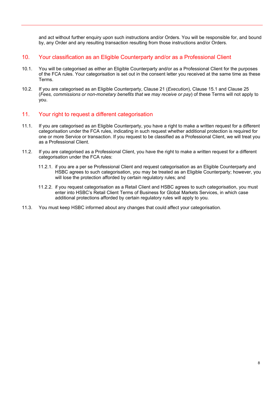and act without further enquiry upon such instructions and/or Orders. You will be responsible for, and bound by, any Order and any resulting transaction resulting from those instructions and/or Orders.

- 10. Your classification as an Eligible Counterparty and/or as a Professional Client
- 10.1. You will be categorised as either an Eligible Counterparty and/or as a Professional Client for the purposes of the FCA rules. Your categorisation is set out in the consent letter you received at the same time as these Terms.
- 10.2. If you are categorised as an Eligible Counterparty, Clause 21 (*Execution*), Clause 15.1 and Clause 25 (*Fees, commissions or non-monetary benefits that we may receive or pay*) of these Terms will not apply to you.

#### 11. Your right to request a different categorisation

- 11.1. If you are categorised as an Eligible Counterparty, you have a right to make a written request for a different categorisation under the FCA rules, indicating in such request whether additional protection is required for one or more Service or transaction. If you request to be classified as a Professional Client, we will treat you as a Professional Client.
- 11.2. If you are categorised as a Professional Client, you have the right to make a written request for a different categorisation under the FCA rules:
	- 11.2.1. if you are a per se Professional Client and request categorisation as an Eligible Counterparty and HSBC agrees to such categorisation, you may be treated as an Eligible Counterparty; however, you will lose the protection afforded by certain regulatory rules; and
	- 11.2.2. if you request categorisation as a Retail Client and HSBC agrees to such categorisation, you must enter into HSBC's Retail Client Terms of Business for Global Markets Services, in which case additional protections afforded by certain regulatory rules will apply to you.
- 11.3. You must keep HSBC informed about any changes that could affect your categorisation.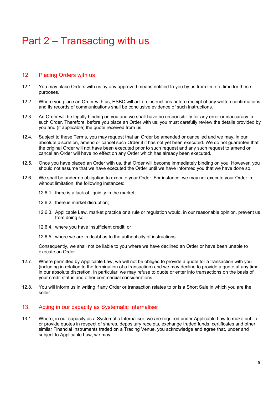### <span id="page-9-0"></span>Part 2 – Transacting with us

#### 12. Placing Orders with us

- 12.1. You may place Orders with us by any approved means notified to you by us from time to time for these purposes.
- 12.2. Where you place an Order with us, HSBC will act on instructions before receipt of any written confirmations and its records of communications shall be conclusive evidence of such instructions.
- 12.3. An Order will be legally binding on you and we shall have no responsibility for any error or inaccuracy in such Order. Therefore, before you place an Order with us, you must carefully review the details provided by you and (if applicable) the quote received from us.
- 12.4. Subject to these Terms, you may request that an Order be amended or cancelled and we may, in our absolute discretion, amend or cancel such Order if it has not yet been executed. We do not guarantee that the original Order will not have been executed prior to such request and any such request to amend or cancel an Order will have no effect on any Order which has already been executed.
- 12.5. Once you have placed an Order with us, that Order will become immediately binding on you. However, you should not assume that we have executed the Order until we have informed you that we have done so.
- 12.6. We shall be under no obligation to execute your Order. For instance, we may not execute your Order in, without limitation, the following instances:
	- 12.6.1. there is a lack of liquidity in the market;
	- 12.6.2. there is market disruption;
	- 12.6.3. Applicable Law, market practice or a rule or regulation would, in our reasonable opinion, prevent us from doing so;
	- 12.6.4. where you have insufficient credit; or
	- 12.6.5. where we are in doubt as to the authenticity of instructions.

Consequently, we shall not be liable to you where we have declined an Order or have been unable to execute an Order.

- 12.7. Where permitted by Applicable Law, we will not be obliged to provide a quote for a transaction with you (including in relation to the termination of a transaction) and we may decline to provide a quote at any time in our absolute discretion. In particular, we may refuse to quote or enter into transactions on the basis of your credit status and other commercial considerations.
- 12.8. You will inform us in writing if any Order or transaction relates to or is a Short Sale in which you are the seller.

#### 13. Acting in our capacity as Systematic Internaliser

13.1. Where, in our capacity as a Systematic Internaliser, we are required under Applicable Law to make public or provide quotes in respect of shares, depositary receipts, exchange traded funds, certificates and other similar Financial Instruments traded on a Trading Venue, you acknowledge and agree that, under and subject to Applicable Law, we may: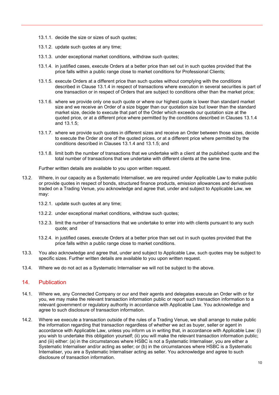- 13.1.1. decide the size or sizes of such quotes;
- 13.1.2. update such quotes at any time;
- 13.1.3. under exceptional market conditions, withdraw such quotes;
- 13.1.4. in justified cases, execute Orders at a better price than set out in such quotes provided that the price falls within a public range close to market conditions for Professional Clients;
- 13.1.5. execute Orders at a different price than such quotes without complying with the conditions described in Clause 13.1.4 in respect of transactions where execution in several securities is part of one transaction or in respect of Orders that are subject to conditions other than the market price;
- 13.1.6. where we provide only one such quote or where our highest quote is lower than standard market size and we receive an Order of a size bigger than our quotation size but lower than the standard market size, decide to execute that part of the Order which exceeds our quotation size at the quoted price, or at a different price where permitted by the conditions described in Clauses 13.1.4 and 13.1.5;
- 13.1.7. where we provide such quotes in different sizes and receive an Order between those sizes, decide to execute the Order at one of the quoted prices, or at a different price where permitted by the conditions described in Clauses 13.1.4 and 13.1.5; and
- 13.1.8. limit both the number of transactions that we undertake with a client at the published quote and the total number of transactions that we undertake with different clients at the same time.

Further written details are available to you upon written request.

- 13.2. Where, in our capacity as a Systematic Internaliser, we are required under Applicable Law to make public or provide quotes in respect of bonds, structured finance products, emission allowances and derivatives traded on a Trading Venue, you acknowledge and agree that, under and subject to Applicable Law, we may:
	- 13.2.1. update such quotes at any time;
	- 13.2.2. under exceptional market conditions, withdraw such quotes;
	- 13.2.3. limit the number of transactions that we undertake to enter into with clients pursuant to any such quote; and
	- 13.2.4. in justified cases, execute Orders at a better price than set out in such quotes provided that the price falls within a public range close to market conditions.
- 13.3. You also acknowledge and agree that, under and subject to Applicable Law, such quotes may be subject to specific sizes. Further written details are available to you upon written request.
- 13.4. Where we do not act as a Systematic Internaliser we will not be subject to the above.

#### 14. Publication

- 14.1. Where we, any Connected Company or our and their agents and delegates execute an Order with or for you, we may make the relevant transaction information public or report such transaction information to a relevant government or regulatory authority in accordance with Applicable Law. You acknowledge and agree to such disclosure of transaction information.
- 14.2. Where we execute a transaction outside of the rules of a Trading Venue, we shall arrange to make public the information regarding that transaction regardless of whether we act as buyer, seller or agent in accordance with Applicable Law, unless you inform us in writing that, in accordance with Applicable Law: (i) you wish to undertake this obligation yourself; (ii) you will make the relevant transaction information public; and (iii) either: (a) in the circumstances where HSBC is not a Systematic Internaliser, you are either a Systematic Internaliser and/or acting as seller; or (b) in the circumstances where HSBC is a Systematic Internaliser, you are a Systematic Internaliser acting as seller. You acknowledge and agree to such disclosure of transaction information.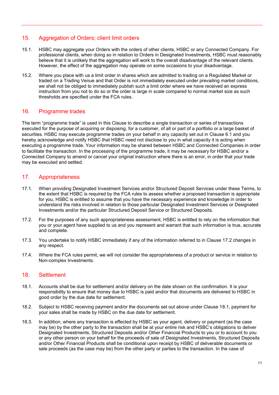#### 15. Aggregation of Orders; client limit orders

- 15.1. HSBC may aggregate your Orders with the orders of other clients, HSBC or any Connected Company. For professional clients, when doing so in relation to Orders in Designated Investments, HSBC must reasonably believe that it is unlikely that the aggregation will work to the overall disadvantage of the relevant clients. However, the effect of the aggregation may operate on some occasions to your disadvantage.
- 15.2. Where you place with us a limit order in shares which are admitted to trading on a Regulated Market or traded on a Trading Venue and that Order is not immediately executed under prevailing market conditions, we shall not be obliged to immediately publish such a limit order where we have received an express instruction from you not to do so or the order is large in scale compared to normal market size as such thresholds are specified under the FCA rules.

#### 16. Programme trades

The term "programme trade" is used in this Clause to describe a single transaction or series of transactions executed for the purpose of acquiring or disposing, for a customer, of all or part of a portfolio or a large basket of securities. HSBC may execute programme trades on your behalf in any capacity set out in Clause 6.1 and you hereby acknowledge and notify HSBC that HSBC need not disclose to you in what capacity it is acting when executing a programme trade. Your information may be shared between HSBC and Connected Companies in order to facilitate the transaction. In the processing of the programme trade, it may be necessary for HSBC and/or a Connected Company to amend or cancel your original instruction where there is an error, in order that your trade may be executed and settled.

#### 17. Appropriateness

- 17.1. When providing Designated Investment Services and/or Structured Deposit Services under these Terms, to the extent that HSBC is required by the FCA rules to assess whether a proposed transaction is appropriate for you, HSBC is entitled to assume that you have the necessary experience and knowledge in order to understand the risks involved in relation to those particular Designated Investment Services or Designated Investments and/or the particular Structured Deposit Service or Structured Deposits.
- 17.2. For the purposes of any such appropriateness assessment, HSBC is entitled to rely on the information that you or your agent have supplied to us and you represent and warrant that such information is true, accurate and complete.
- 17.3. You undertake to notify HSBC immediately if any of the information referred to in Clause 17.2 changes in any respect.
- 17.4. Where the FCA rules permit, we will not consider the appropriateness of a product or service in relation to Non-complex Investments.

#### 18. Settlement

- 18.1. Accounts shall be due for settlement and/or delivery on the date shown on the confirmation. It is your responsibility to ensure that money due to HSBC is paid and/or that documents are delivered to HSBC in good order by the due date for settlement.
- 18.2. Subject to HSBC receiving payment and/or the documents set out above under Clause 18.1, payment for your sales shall be made by HSBC on the due date for settlement.
- 18.3. In addition, where any transaction is effected by HSBC as your agent, delivery or payment (as the case may be) by the other party to the transaction shall be at your entire risk and HSBC's obligations to deliver Designated Investments, Structured Deposits and/or Other Financial Products to you or to account to you or any other person on your behalf for the proceeds of sale of Designated Investments, Structured Deposits and/or Other Financial Products shall be conditional upon receipt by HSBC of deliverable documents or sale proceeds (as the case may be) from the other party or parties to the transaction. In the case of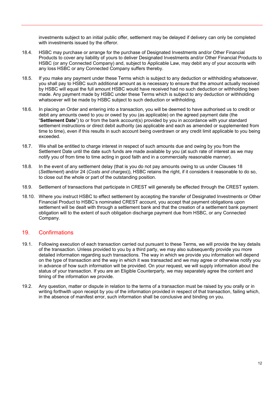investments subject to an initial public offer, settlement may be delayed if delivery can only be completed with investments issued by the offeror.

- 18.4. HSBC may purchase or arrange for the purchase of Designated Investments and/or Other Financial Products to cover any liability of yours to deliver Designated Investments and/or Other Financial Products to HSBC (or any Connected Company) and, subject to Applicable Law, may debit any of your accounts with any loss HSBC or any Connected Company suffers thereby.
- 18.5. If you make any payment under these Terms which is subject to any deduction or withholding whatsoever, you shall pay to HSBC such additional amount as is necessary to ensure that the amount actually received by HSBC will equal the full amount HSBC would have received had no such deduction or withholding been made. Any payment made by HSBC under these Terms which is subject to any deduction or withholding whatsoever will be made by HSBC subject to such deduction or withholding.
- 18.6. In placing an Order and entering into a transaction, you will be deemed to have authorised us to credit or debit any amounts owed to you or owed by you (as applicable) on the agreed payment date (the "**Settlement Date**") to or from the bank account(s) provided by you in accordance with your standard settlement instructions or direct debit authority (as applicable and each as amended or supplemented from time to time), even if this results in such account being overdrawn or any credit limit applicable to you being exceeded.
- 18.7. We shall be entitled to charge interest in respect of such amounts due and owing by you from the Settlement Date until the date such funds are made available by you (at such rate of interest as we may notify you of from time to time acting in good faith and in a commercially reasonable manner).
- 18.8. In the event of any settlement delay (that is you do not pay amounts owing to us under Clauses 18 (*Settlement*) and/or 24 (*Costs and charges*)), HSBC retains the right, if it considers it reasonable to do so, to close out the whole or part of the outstanding position.
- 18.9. Settlement of transactions that participate in CREST will generally be effected through the CREST system.
- 18.10. Where you instruct HSBC to effect settlement by accepting the transfer of Designated Investments or Other Financial Product to HSBC's nominated CREST account, you accept that payment obligations upon settlement will be dealt with through a settlement bank and that the creation of a settlement bank payment obligation will to the extent of such obligation discharge payment due from HSBC, or any Connected Company.

#### 19. Confirmations

- 19.1. Following execution of each transaction carried out pursuant to these Terms, we will provide the key details of the transaction. Unless provided to you by a third party, we may also subsequently provide you more detailed information regarding such transactions. The way in which we provide you information will depend on the type of transaction and the way in which it was transacted and we may agree or otherwise notify you in advance of how such information will be provided. On your request, we will supply information about the status of your transaction. If you are an Eligible Counterparty, we may separately agree the content and timing of the information we provide.
- 19.2. Any question, matter or dispute in relation to the terms of a transaction must be raised by you orally or in writing forthwith upon receipt by you of the information provided in respect of that transaction, failing which, in the absence of manifest error, such information shall be conclusive and binding on you.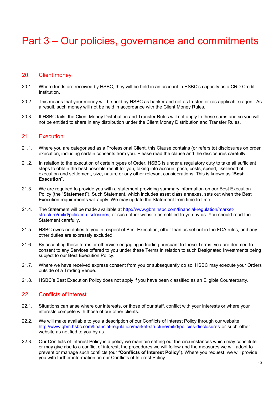### <span id="page-13-0"></span>Part 3 – Our policies, governance and commitments

#### 20. Client money

- 20.1. Where funds are received by HSBC, they will be held in an account in HSBC's capacity as a CRD Credit Institution.
- 20.2. This means that your money will be held by HSBC as banker and not as trustee or (as applicable) agent. As a result, such money will not be held in accordance with the Client Money Rules.
- 20.3. If HSBC fails, the Client Money Distribution and Transfer Rules will not apply to these sums and so you will not be entitled to share in any distribution under the Client Money Distribution and Transfer Rules.

#### 21. Execution

- 21.1. Where you are categorised as a Professional Client, this Clause contains (or refers to) disclosures on order execution, including certain consents from you. Please read the clause and the disclosures carefully.
- 21.2. In relation to the execution of certain types of Order, HSBC is under a regulatory duty to take all sufficient steps to obtain the best possible result for you, taking into account price, costs, speed, likelihood of execution and settlement, size, nature or any other relevant considerations. This is known as "**Best Execution**".
- 21.3. We are required to provide you with a statement providing summary information on our Best Execution Policy (the "**Statement**"). Such Statement, which includes asset class annexes, sets out when the Best Execution requirements will apply. We may update the Statement from time to time.
- 21.4. The Statement will be made available at [http://www.gbm.hsbc.com/financial-regulation/market](https://urldefense.proofpoint.com/v2/url?u=http-3A__www.gbm.hsbc.com_financial-2Dregulation_market-2Dstructure_mifid_policies-2Ddisclosures&d=DwMGaQ&c=qQy84HidZKks1AzH1tNzCKFxsPy43_OhvfM1avj4FME&r=eOW82TXfLKkL5Jcxbk-oDkwL-iqGeDd7649U2iwzl60&m=AptdafmkKFnMVMJ5RZWkpvS5YhBbGqfL0NIcPHmVkhQ&s=0emlXgqfLTVHrOFjaoeYyGMTd5a3Vr2L9YWtzAxJhQg&e=)[structure/mifid/policies-disclosures,](https://urldefense.proofpoint.com/v2/url?u=http-3A__www.gbm.hsbc.com_financial-2Dregulation_market-2Dstructure_mifid_policies-2Ddisclosures&d=DwMGaQ&c=qQy84HidZKks1AzH1tNzCKFxsPy43_OhvfM1avj4FME&r=eOW82TXfLKkL5Jcxbk-oDkwL-iqGeDd7649U2iwzl60&m=AptdafmkKFnMVMJ5RZWkpvS5YhBbGqfL0NIcPHmVkhQ&s=0emlXgqfLTVHrOFjaoeYyGMTd5a3Vr2L9YWtzAxJhQg&e=) or such other website as notified to you by us. You should read the Statement carefully.
- 21.5. HSBC owes no duties to you in respect of Best Execution, other than as set out in the FCA rules, and any other duties are expressly excluded.
- 21.6. By accepting these terms or otherwise engaging in trading pursuant to these Terms, you are deemed to consent to any Services offered to you under these Terms in relation to such Designated Investments being subject to our Best Execution Policy.
- 21.7. Where we have received express consent from you or subsequently do so, HSBC may execute your Orders outside of a Trading Venue.
- 21.8. HSBC's Best Execution Policy does not apply if you have been classified as an Eligible Counterparty.

#### 22. Conflicts of interest

- 22.1. Situations can arise where our interests, or those of our staff, conflict with your interests or where your interests compete with those of our other clients.
- 22.2. We will make available to you a description of our Conflicts of Interest Policy through our website <http://www.gbm.hsbc.com/financial-regulation/market-structure/mifid/policies-disclosures> or such other website as notified to you by us.
- 22.3. Our Conflicts of Interest Policy is a policy we maintain setting out the circumstances which may constitute or may give rise to a conflict of interest, the procedures we will follow and the measures we will adopt to prevent or manage such conflicts (our "**Conflicts of Interest Policy**"). Where you request, we will provide you with further information on our Conflicts of Interest Policy.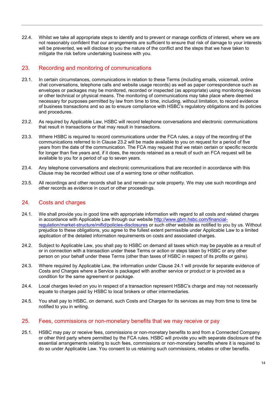22.4. Whilst we take all appropriate steps to identify and to prevent or manage conflicts of interest, where we are not reasonably confident that our arrangements are sufficient to ensure that risk of damage to your interests will be prevented, we will disclose to you the nature of the conflict and the steps that we have taken to mitigate the risk before undertaking business with you.

#### 23. Recording and monitoring of communications

- 23.1. In certain circumstances, communications in relation to these Terms (including emails, voicemail, online chat conversations, telephone calls and website usage records) as well as paper correspondence such as envelopes or packages may be monitored, recorded or inspected (as appropriate) using monitoring devices or other technical or physical means. The monitoring of communications may take place where deemed necessary for purposes permitted by law from time to time, including, without limitation, to record evidence of business transactions and so as to ensure compliance with HSBC's regulatory obligations and its policies and procedures.
- 23.2. As required by Applicable Law, HSBC will record telephone conversations and electronic communications that result in transactions or that may result in transactions.
- 23.3. Where HSBC is required to record communications under the FCA rules, a copy of the recording of the communications referred to in Clause 23.2 will be made available to you on request for a period of five years from the date of the communication. The FCA may request that we retain certain or specific records for longer than five years and, if it does, the records retained as a result of such an FCA request will be available to you for a period of up to seven years.
- 23.4. Any telephone conversations and electronic communications that are recorded in accordance with this Clause may be recorded without use of a warning tone or other notification.
- 23.5. All recordings and other records shall be and remain our sole property. We may use such recordings and other records as evidence in court or other proceedings.

#### 24. Costs and charges

- 24.1. We shall provide you in good time with appropriate information with regard to all costs and related charges in accordance with Applicable Law through our website [http://www.gbm.hsbc.com/financial](http://www.gbm.hsbc.com/financial-regulation/market-structure/mifid/policies-disclosures)[regulation/market-structure/mifid/policies-disclosures](http://www.gbm.hsbc.com/financial-regulation/market-structure/mifid/policies-disclosures) or such other website as notified to you by us. Without prejudice to these obligations, you agree to the fullest extent permissible under Applicable Law to a limited application of the detailed information requirements on costs and associated charges.
- 24.2. Subject to Applicable Law, you shall pay to HSBC on demand all taxes which may be payable as a result of or in connection with a transaction under these Terms or action or steps taken by HSBC or any other person on your behalf under these Terms (other than taxes of HSBC in respect of its profits or gains).
- 24.3. Where required by Applicable Law, the information under Clause 24.1 will provide for separate evidence of Costs and Charges where a Service is packaged with another service or product or is provided as a condition for the same agreement or package.
- 24.4. Local charges levied on you in respect of a transaction represent HSBC's charge and may not necessarily equate to charges paid by HSBC to local brokers or other intermediaries.
- 24.5. You shall pay to HSBC, on demand, such Costs and Charges for its services as may from time to time be notified to you in writing.

#### 25. Fees, commissions or non-monetary benefits that we may receive or pay

25.1. HSBC may pay or receive fees, commissions or non-monetary benefits to and from a Connected Company or other third party where permitted by the FCA rules. HSBC will provide you with separate disclosure of the essential arrangements relating to such fees, commissions or non-monetary benefits where it is required to do so under Applicable Law. You consent to us retaining such commissions, rebates or other benefits.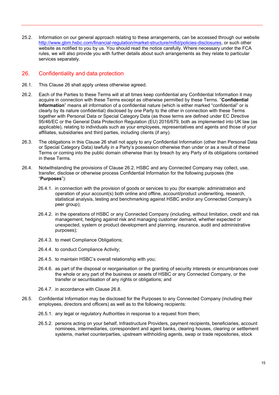25.2. Information on our general approach relating to these arrangements, can be accessed through our website http://www.gbm.hsbc.com/financial-regulation/market-structure/mifid/policies-disclosures, or such other website as notified to you by us. You should read the notice carefully. Where necessary under the FCA rules, we will also provide you with further details about such arrangements as they relate to particular services separately.

#### 26. Confidentiality and data protection

- 26.1. This Clause 26 shall apply unless otherwise agreed.
- 26.2. Each of the Parties to these Terms will at all times keep confidential any Confidential Information it may acquire in connection with these Terms except as otherwise permitted by these Terms. "**Confidential Information**" means all information of a confidential nature (which is either marked "confidential" or is clearly by its nature confidential) disclosed by one Party to the other in connection with these Terms together with Personal Data or Special Category Data (as those terms are defined under EC Directive 95/46/EC or the General Data Protection Regulation (EU) 2016/679, both as implemented into UK law (as applicable), relating to individuals such as your employees, representatives and agents and those of your affiliates, subsidiaries and third parties, including clients (if any).
- 26.3. The obligations in this Clause 26 shall not apply to any Confidential Information (other than Personal Data or Special Category Data) lawfully in a Party's possession otherwise than under or as a result of these Terms or coming into the public domain otherwise than by breach by any Party of its obligations contained in these Terms.
- 26.4. Notwithstanding the provisions of Clause 26.2, HSBC and any Connected Company may collect, use, transfer, disclose or otherwise process Confidential Information for the following purposes (the "**Purposes**"):
	- 26.4.1. in connection with the provision of goods or services to you (for example: administration and operation of your account(s) both online and offline, account/product underwriting, research, statistical analysis, testing and benchmarking against HSBC and/or any Connected Company's peer group);
	- 26.4.2. in the operations of HSBC or any Connected Company (including, without limitation, credit and risk management, hedging against risk and managing customer demand, whether expected or unexpected, system or product development and planning, insurance, audit and administrative purposes);
	- 26.4.3. to meet Compliance Obligations;
	- 26.4.4. to conduct Compliance Activity;
	- 26.4.5. to maintain HSBC's overall relationship with you;
	- 26.4.6. as part of the disposal or reorganisation or the granting of security interests or encumbrances over the whole or any part of the business or assets of HSBC or any Connected Company, or the transfer or securitisation of any rights or obligations; and
	- 26.4.7. in accordance with Clause 26.8.
- 26.5. Confidential Information may be disclosed for the Purposes to any Connected Company (including their employees, directors and officers) as well as to the following recipients:
	- 26.5.1. any legal or regulatory Authorities in response to a request from them;
	- 26.5.2. persons acting on your behalf, Infrastructure Providers, payment recipients, beneficiaries, account nominees, intermediaries, correspondent and agent banks, clearing houses, clearing or settlement systems, market counterparties, upstream withholding agents, swap or trade repositories, stock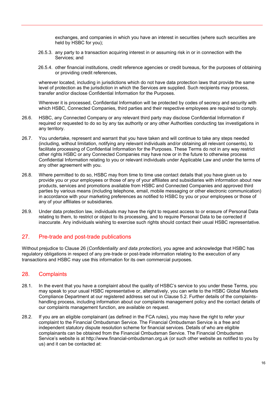exchanges, and companies in which you have an interest in securities (where such securities are held by HSBC for you);

- 26.5.3. any party to a transaction acquiring interest in or assuming risk in or in connection with the Services; and
- 26.5.4. other financial institutions, credit reference agencies or credit bureaus, for the purposes of obtaining or providing credit references,

wherever located, including in jurisdictions which do not have data protection laws that provide the same level of protection as the jurisdiction in which the Services are supplied. Such recipients may process, transfer and/or disclose Confidential Information for the Purposes.

Wherever it is processed, Confidential Information will be protected by codes of secrecy and security with which HSBC, Connected Companies, third parties and their respective employees are required to comply.

- 26.6. HSBC, any Connected Company or any relevant third party may disclose Confidential Information if required or requested to do so by any tax authority or any other Authorities conducting tax investigations in any territory.
- 26.7. You undertake, represent and warrant that you have taken and will continue to take any steps needed (including, without limitation, notifying any relevant individuals and/or obtaining all relevant consents), to facilitate processing of Confidential Information for the Purposes. These Terms do not in any way restrict other rights HSBC or any Connected Companies may have now or in the future to otherwise process Confidential Information relating to you or relevant individuals under Applicable Law and under the terms of any other agreement with you.
- 26.8. Where permitted to do so, HSBC may from time to time use contact details that you have given us to provide you or your employees or those of any of your affiliates and subsidiaries with information about new products, services and promotions available from HSBC and Connected Companies and approved third parties by various means (including telephone, email, mobile messaging or other electronic communication) in accordance with your marketing preferences as notified to HSBC by you or your employees or those of any of your affiliates or subsidiaries.
- 26.9. Under data protection law, individuals may have the right to request access to or erasure of Personal Data relating to them, to restrict or object to its processing, and to require Personal Data to be corrected if inaccurate. Any individuals wishing to exercise such rights should contact their usual HSBC representative.

#### 27. Pre-trade and post-trade publications

Without prejudice to Clause 26 (*Confidentiality and data protection*), you agree and acknowledge that HSBC has regulatory obligations in respect of any pre-trade or post-trade information relating to the execution of any transactions and HSBC may use this information for its own commercial purposes.

#### 28. Complaints

- 28.1. In the event that you have a complaint about the quality of HSBC's service to you under these Terms, you may speak to your usual HSBC representative or, alternatively, you can write to the HSBC Global Markets Compliance Department at our registered address set out in Clause 5.2. Further details of the complaintshandling process, including information about our complaints management policy and the contact details of our complaints management function, are available on request.
- 28.2. If you are an eligible complainant (as defined in the FCA rules), you may have the right to refer your complaint to the Financial Ombudsman Service. The Financial Ombudsman Service is a free and independent statutory dispute resolution scheme for financial services. Details of who are eligible complainants can be obtained from the Financial Ombudsman Service. The Financial Ombudsman Service's website is at http://www.financial-ombudsman.org.uk (or such other website as notified to you by us) and it can be contacted at: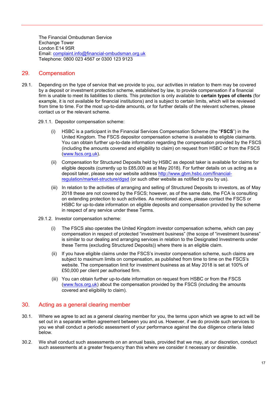The Financial Ombudsman Service Exchange Tower London E14 9SR Email: [complaint.info@financial-ombudsman.org.uk](mailto:complaint.info@financial-ombudsman.org.uk) Telephone: 0800 023 4567 or 0300 123 9123

#### 29. Compensation

- 29.1. Depending on the type of service that we provide to you, our activities in relation to them may be covered by a deposit or investment protection scheme, established by law, to provide compensation if a financial firm is unable to meet its liabilities to clients. This protection is only available to **certain types of clients** (for example, it is not available for financial institutions) and is subject to certain limits, which will be reviewed from time to time. For the most up-to-date amounts, or for further details of the relevant schemes, please contact us or the relevant scheme.
	- 29.1.1. Depositor compensation scheme:
		- (i) HSBC is a participant in the Financial Services Compensation Scheme (the "**FSCS**") in the United Kingdom. The FSCS depositor compensation scheme is available to eligible claimants. You can obtain further up-to-date information regarding the compensation provided by the FSCS (including the amounts covered and eligibility to claim) on request from HSBC or from the FSCS [\(www.fscs.org.uk\)](http://www.fscs.org.uk/).
		- (ii) Compensation for Structured Deposits held by HSBC as deposit taker is available for claims for eligible deposits (currently up to £85,000 as at May 2018). For further details on us acting as a deposit taker, please see our website address [http://www.gbm.hsbc.com/financial](http://www.gbm.hsbc.com/financial-regulation/market-structure/dgsd)[regulation/market-structure/dgsd](http://www.gbm.hsbc.com/financial-regulation/market-structure/dgsd) (or such other website as notified to you by us).
		- (iii) In relation to the activities of arranging and selling of Structured Deposits to investors, as of May 2018 these are not covered by the FSCS; however, as of the same date, the FCA is consulting on extending protection to such activities. As mentioned above, please contact the FSCS or HSBC for up-to-date information on eligible deposits and compensation provided by the scheme in respect of any service under these Terms.
	- 29.1.2. Investor compensation scheme:
		- (i) The FSCS also operates the United Kingdom investor compensation scheme, which can pay compensation in respect of protected "investment business" (the scope of "investment business" is similar to our dealing and arranging services in relation to the Designated Investments under these Terms (excluding Structured Deposits)) where there is an eligible claim.
		- (ii) If you have eligible claims under the FSCS's investor compensation scheme, such claims are subject to maximum limits on compensation, as published from time to time on the FSCS's website. The compensation limit for investment business as at May 2018 is set at 100% of £50,000 per client per authorised firm.
		- (iii) You can obtain further up-to-date information on request from HSBC or from the FSCS [\(www.fscs.org.uk\)](http://www.fscs.org.uk/) about the compensation provided by the FSCS (including the amounts covered and eligibility to claim).

#### 30. Acting as a general clearing member

- 30.1. Where we agree to act as a general clearing member for you, the terms upon which we agree to act will be set out in a separate written agreement between you and us. However, if we do provide such services to you we shall conduct a periodic assessment of your performance against the due diligence criteria listed below.
- 30.2. We shall conduct such assessments on an annual basis, provided that we may, at our discretion, conduct such assessments at a greater frequency than this where we consider it necessary or desirable.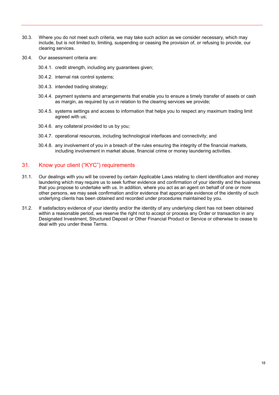- 30.3. Where you do not meet such criteria, we may take such action as we consider necessary, which may include, but is not limited to, limiting, suspending or ceasing the provision of, or refusing to provide, our clearing services.
- 30.4. Our assessment criteria are:
	- 30.4.1. credit strength, including any guarantees given;
	- 30.4.2. internal risk control systems;
	- 30.4.3. intended trading strategy;
	- 30.4.4. payment systems and arrangements that enable you to ensure a timely transfer of assets or cash as margin, as required by us in relation to the clearing services we provide;
	- 30.4.5. systems settings and access to information that helps you to respect any maximum trading limit agreed with us;
	- 30.4.6. any collateral provided to us by you;
	- 30.4.7. operational resources, including technological interfaces and connectivity; and
	- 30.4.8. any involvement of you in a breach of the rules ensuring the integrity of the financial markets, including involvement in market abuse, financial crime or money laundering activities.

#### 31. Know your client ("KYC") requirements

- 31.1. Our dealings with you will be covered by certain Applicable Laws relating to client identification and money laundering which may require us to seek further evidence and confirmation of your identity and the business that you propose to undertake with us. In addition, where you act as an agent on behalf of one or more other persons, we may seek confirmation and/or evidence that appropriate evidence of the identity of such underlying clients has been obtained and recorded under procedures maintained by you.
- 31.2. If satisfactory evidence of your identity and/or the identity of any underlying client has not been obtained within a reasonable period, we reserve the right not to accept or process any Order or transaction in any Designated Investment, Structured Deposit or Other Financial Product or Service or otherwise to cease to deal with you under these Terms.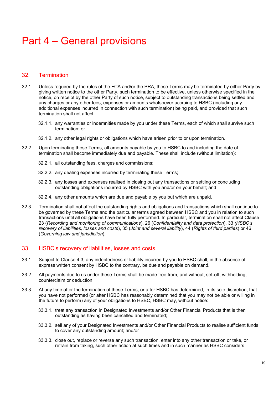### <span id="page-19-0"></span>Part 4 – General provisions

#### 32. Termination

- 32.1. Unless required by the rules of the FCA and/or the PRA, these Terms may be terminated by either Party by giving written notice to the other Party, such termination to be effective, unless otherwise specified in the notice, on receipt by the other Party of such notice, subject to outstanding transactions being settled and any charges or any other fees, expenses or amounts whatsoever accruing to HSBC (including any additional expenses incurred in connection with such termination) being paid, and provided that such termination shall not affect:
	- 32.1.1. any warranties or indemnities made by you under these Terms, each of which shall survive such termination; or
	- 32.1.2. any other legal rights or obligations which have arisen prior to or upon termination.
- 32.2. Upon terminating these Terms, all amounts payable by you to HSBC to and including the date of termination shall become immediately due and payable. These shall include (without limitation):
	- 32.2.1. all outstanding fees, charges and commissions;
	- 32.2.2. any dealing expenses incurred by terminating these Terms;
	- 32.2.3. any losses and expenses realised in closing out any transactions or settling or concluding outstanding obligations incurred by HSBC with you and/or on your behalf; and
	- 32.2.4. any other amounts which are due and payable by you but which are unpaid.
- 32.3. Termination shall not affect the outstanding rights and obligations and transactions which shall continue to be governed by these Terms and the particular terms agreed between HSBC and you in relation to such transactions until all obligations have been fully performed. In particular, termination shall not affect Clause 23 (*Recording and monitoring of communications*), 26 (*Confidentiality and data protection*), 33 *(HSBC's recovery of liabilities, losses and costs*), 35 (*Joint and several liability*), 44 (*Rights of third parties*) or 46 (*Governing law and jurisdiction*).

#### 33. HSBC's recovery of liabilities, losses and costs

- 33.1. Subject to Clause 4.3, any indebtedness or liability incurred by you to HSBC shall, in the absence of express written consent by HSBC to the contrary, be due and payable on demand.
- 33.2. All payments due to us under these Terms shall be made free from, and without, set-off, withholding, counterclaim or deduction.
- 33.3. At any time after the termination of these Terms, or after HSBC has determined, in its sole discretion, that you have not performed (or after HSBC has reasonably determined that you may not be able or willing in the future to perform) any of your obligations to HSBC, HSBC may, without notice:
	- 33.3.1. treat any transaction in Designated Investments and/or Other Financial Products that is then outstanding as having been cancelled and terminated;
	- 33.3.2. sell any of your Designated Investments and/or Other Financial Products to realise sufficient funds to cover any outstanding amount; and/or
	- 33.3.3. close out, replace or reverse any such transaction, enter into any other transaction or take, or refrain from taking, such other action at such times and in such manner as HSBC considers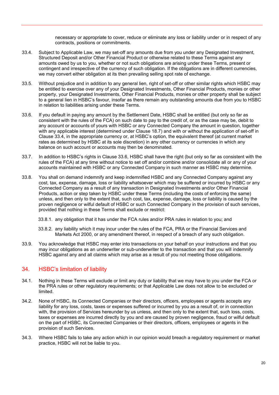necessary or appropriate to cover, reduce or eliminate any loss or liability under or in respect of any contracts, positions or commitments.

- 33.4. Subject to Applicable Law, we may set-off any amounts due from you under any Designated Investment, Structured Deposit and/or Other Financial Product or otherwise related to these Terms against any amounts owed by us to you, whether or not such obligations are arising under these Terms, present or contingent and irrespective of the currency of such obligation. If the obligations are in different currencies, we may convert either obligation at its then prevailing selling spot rate of exchange.
- 33.5. Without prejudice and in addition to any general lien, right of set-off or other similar rights which HSBC may be entitled to exercise over any of your Designated Investments, Other Financial Products, monies or other property, your Designated Investments, Other Financial Products, monies or other property shall be subject to a general lien in HSBC's favour, insofar as there remain any outstanding amounts due from you to HSBC in relation to liabilities arising under these Terms.
- 33.6. If you default in paying any amount by the Settlement Date, HSBC shall be entitled (but only so far as consistent with the rules of the FCA) on such date to pay to the credit of, or as the case may be, debit to any account or accounts of yours with HSBC or any Connected Company the amount in question, together with any applicable interest (determined under Clause 18.7) and with or without the application of set-off in Clause 33.4, in the appropriate currency or, at HSBC's option, the equivalent thereof (at current market rates as determined by HSBC at its sole discretion) in any other currency or currencies in which any balance on such account or accounts may then be denominated.
- 33.7. In addition to HSBC's rights in Clause 33.6, HSBC shall have the right (but only so far as consistent with the rules of the FCA) at any time without notice to set off and/or combine and/or consolidate all or any of your accounts maintained with HSBC or any Connected Company in such manner as HSBC may determine.
- 33.8. You shall on demand indemnify and keep indemnified HSBC and any Connected Company against any cost, tax, expense, damage, loss or liability whatsoever which may be suffered or incurred by HSBC or any Connected Company as a result of any transaction in Designated Investments and/or Other Financial Products, action or step taken by HSBC under these Terms (including the costs of enforcing the same) unless, and then only to the extent that, such cost, tax, expense, damage, loss or liability is caused by the proven negligence or wilful default of HSBC or such Connected Company in the provision of such services, provided that nothing in these Terms shall exclude or restrict:
	- 33.8.1. any obligation that it has under the FCA rules and/or PRA rules in relation to you; and
	- 33.8.2. any liability which it may incur under the rules of the FCA, PRA or the Financial Services and Markets Act 2000, or any amendment thereof, in respect of a breach of any such obligation.
- 33.9. You acknowledge that HSBC may enter into transactions on your behalf on your instructions and that you may incur obligations as an underwriter or sub-underwriter to the transaction and that you will indemnify HSBC against any and all claims which may arise as a result of you not meeting those obligations.

#### 34. HSBC's limitation of liability

- 34.1. Nothing in these Terms will exclude or limit any duty or liability that we may have to you under the FCA or the PRA rules or other regulatory requirements; or that Applicable Law does not allow to be excluded or limited.
- 34.2. None of HSBC, its Connected Companies or their directors, officers, employees or agents accepts any liability for any loss, costs, taxes or expenses suffered or incurred by you as a result of, or in connection with, the provision of Services hereunder by us unless, and then only to the extent that, such loss, costs, taxes or expenses are incurred directly by you and are caused by proven negligence, fraud or wilful default on the part of HSBC, its Connected Companies or their directors, officers, employees or agents in the provision of such Services.
- 34.3. Where HSBC fails to take any action which in our opinion would breach a regulatory requirement or market practice, HSBC will not be liable to you.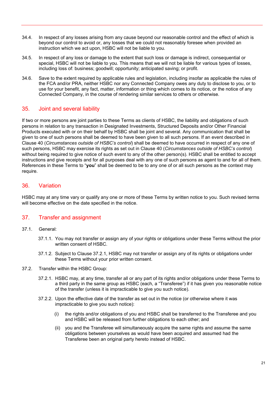- 34.4. In respect of any losses arising from any cause beyond our reasonable control and the effect of which is beyond our control to avoid or, any losses that we could not reasonably foresee when provided an instruction which we act upon, HSBC will not be liable to you.
- 34.5. In respect of any loss or damage to the extent that such loss or damage is indirect, consequential or special, HSBC will not be liable to you. This means that we will not be liable for various types of losses, including loss of: business; goodwill; opportunity; anticipated saving; or profit.
- 34.6. Save to the extent required by applicable rules and legislation, including insofar as applicable the rules of the FCA and/or PRA, neither HSBC nor any Connected Company owes any duty to disclose to you, or to use for your benefit, any fact, matter, information or thing which comes to its notice, or the notice of any Connected Company, in the course of rendering similar services to others or otherwise.

#### 35. Joint and several liability

If two or more persons are joint parties to these Terms as clients of HSBC, the liability and obligations of such persons in relation to any transaction in Designated Investments, Structured Deposits and/or Other Financial Products executed with or on their behalf by HSBC shall be joint and several. Any communication that shall be given to one of such persons shall be deemed to have been given to all such persons. If an event described in Clause 40 (*Circumstances outside of HSBC's control*) shall be deemed to have occurred in respect of any one of such persons, HSBC may exercise its rights as set out in Clause 40 (*Circumstances outside of HSBC's control*) without being required to give notice of such event to any of the other person(s). HSBC shall be entitled to accept instructions and give receipts and for all purposes deal with any one of such persons as agent to and for all of them. References in these Terms to "**you**" shall be deemed to be to any one of or all such persons as the context may require.

#### 36. Variation

HSBC may at any time vary or qualify any one or more of these Terms by written notice to you. Such revised terms will become effective on the date specified in the notice.

#### 37. Transfer and assignment

- 37.1. General:
	- 37.1.1. You may not transfer or assign any of your rights or obligations under these Terms without the prior written consent of HSBC.
	- 37.1.2. Subject to Clause 37.2.1, HSBC may not transfer or assign any of its rights or obligations under these Terms without your prior written consent.
- 37.2. Transfer within the HSBC Group:
	- 37.2.1. HSBC may, at any time, transfer all or any part of its rights and/or obligations under these Terms to a third party in the same group as HSBC (each, a "Transferee") if it has given you reasonable notice of the transfer (unless it is impracticable to give you such notice).
	- 37.2.2. Upon the effective date of the transfer as set out in the notice (or otherwise where it was impracticable to give you such notice):
		- (i) the rights and/or obligations of you and HSBC shall be transferred to the Transferee and you and HSBC will be released from further obligations to each other; and
		- (ii) you and the Transferee will simultaneously acquire the same rights and assume the same obligations between yourselves as would have been acquired and assumed had the Transferee been an original party hereto instead of HSBC.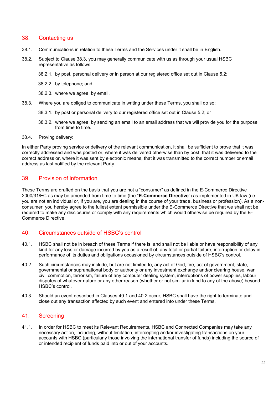#### 38. Contacting us

- 38.1. Communications in relation to these Terms and the Services under it shall be in English.
- 38.2. Subject to Clause 38.3, you may generally communicate with us as through your usual HSBC representative as follows:
	- 38.2.1. by post, personal delivery or in person at our registered office set out in Clause 5.2;
	- 38.2.2. by telephone; and
	- 38.2.3. where we agree, by email.
- 38.3. Where you are obliged to communicate in writing under these Terms, you shall do so:
	- 38.3.1. by post or personal delivery to our registered office set out in Clause 5.2; or
	- 38.3.2. where we agree, by sending an email to an email address that we will provide you for the purpose from time to time.

#### 38.4. Proving delivery:

In either Party proving service or delivery of the relevant communication, it shall be sufficient to prove that it was correctly addressed and was posted or, where it was delivered otherwise than by post, that it was delivered to the correct address or, where it was sent by electronic means, that it was transmitted to the correct number or email address as last notified by the relevant Party.

#### 39. Provision of information

These Terms are drafted on the basis that you are not a "consumer" as defined in the E-Commerce Directive 2000/31/EC as may be amended from time to time (the "**E-Commerce Directive**") as implemented in UK law (i.e. you are not an individual or, if you are, you are dealing in the course of your trade, business or profession). As a nonconsumer, you hereby agree to the fullest extent permissible under the E-Commerce Directive that we shall not be required to make any disclosures or comply with any requirements which would otherwise be required by the E-Commerce Directive.

#### 40. Circumstances outside of HSBC's control

- 40.1. HSBC shall not be in breach of these Terms if there is, and shall not be liable or have responsibility of any kind for any loss or damage incurred by you as a result of, any total or partial failure, interruption or delay in performance of its duties and obligations occasioned by circumstances outside of HSBC's control.
- 40.2. Such circumstances may include, but are not limited to, any act of God, fire, act of government, state, governmental or supranational body or authority or any investment exchange and/or clearing house, war, civil commotion, terrorism, failure of any computer dealing system, interruptions of power supplies, labour disputes of whatever nature or any other reason (whether or not similar in kind to any of the above) beyond HSBC's control.
- 40.3. Should an event described in Clauses 40.1 and 40.2 occur, HSBC shall have the right to terminate and close out any transaction affected by such event and entered into under these Terms.

#### 41. Screening

41.1. In order for HSBC to meet its Relevant Requirements, HSBC and Connected Companies may take any necessary action, including, without limitation, intercepting and/or investigating transactions on your accounts with HSBC (particularly those involving the international transfer of funds) including the source of or intended recipient of funds paid into or out of your accounts.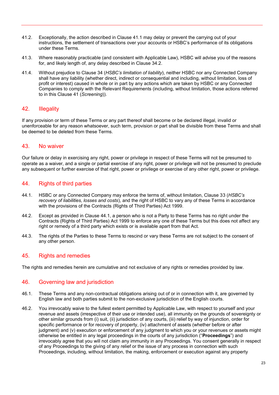- 41.2. Exceptionally, the action described in Clause 41.1 may delay or prevent the carrying out of your instructions, the settlement of transactions over your accounts or HSBC's performance of its obligations under these Terms.
- 41.3. Where reasonably practicable (and consistent with Applicable Law), HSBC will advise you of the reasons for, and likely length of, any delay described in Clause 34.2.
- 41.4. Without prejudice to Clause 34 (*HSBC's limitation of liability*), neither HSBC nor any Connected Company shall have any liability (whether direct, indirect or consequential and including, without limitation, loss of profit or interest) caused in whole or in part by any actions which are taken by HSBC or any Connected Companies to comply with the Relevant Requirements (including, without limitation, those actions referred to in this Clause 41 (*Screening*)).

#### 42. Illegality

If any provision or term of these Terms or any part thereof shall become or be declared illegal, invalid or unenforceable for any reason whatsoever, such term, provision or part shall be divisible from these Terms and shall be deemed to be deleted from these Terms.

#### 43. No waiver

Our failure or delay in exercising any right, power or privilege in respect of these Terms will not be presumed to operate as a waiver, and a single or partial exercise of any right, power or privilege will not be presumed to preclude any subsequent or further exercise of that right, power or privilege or exercise of any other right, power or privilege.

#### 44. Rights of third parties

- 44.1. HSBC or any Connected Company may enforce the terms of, without limitation, Clause 33 (*HSBC's recovery of liabilities, losses and costs*), and the right of HSBC to vary any of these Terms in accordance with the provisions of the Contracts (Rights of Third Parties) Act 1999.
- 44.2. Except as provided in Clause 44.1, a person who is not a Party to these Terms has no right under the Contracts (Rights of Third Parties) Act 1999 to enforce any one of these Terms but this does not affect any right or remedy of a third party which exists or is available apart from that Act.
- 44.3. The rights of the Parties to these Terms to rescind or vary these Terms are not subject to the consent of any other person.

#### 45. Rights and remedies

The rights and remedies herein are cumulative and not exclusive of any rights or remedies provided by law.

#### 46. Governing law and jurisdiction

- 46.1. These Terms and any non-contractual obligations arising out of or in connection with it, are governed by English law and both parties submit to the non-exclusive jurisdiction of the English courts.
- 46.2. You irrevocably waive to the fullest extent permitted by Applicable Law, with respect to yourself and your revenue and assets (irrespective of their use or intended use), all immunity on the grounds of sovereignty or other similar grounds from (i) suit, (ii) jurisdiction of any courts, (iii) relief by way of injunction, order for specific performance or for recovery of property, (iv) attachment of assets (whether before or after judgment) and (v) execution or enforcement of any judgment to which you or your revenues or assets might otherwise be entitled in any legal proceedings in the courts of any jurisdiction ("**Proceedings**") and irrevocably agree that you will not claim any immunity in any Proceedings. You consent generally in respect of any Proceedings to the giving of any relief or the issue of any process in connection with such Proceedings, including, without limitation, the making, enforcement or execution against any property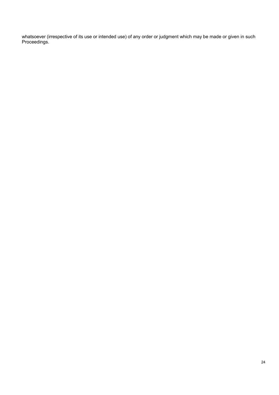whatsoever (irrespective of its use or intended use) of any order or judgment which may be made or given in such Proceedings.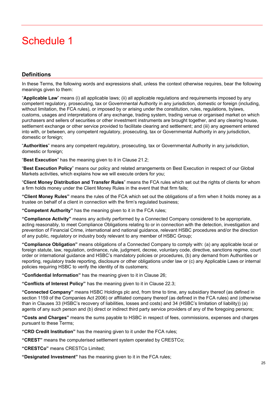### <span id="page-26-0"></span>Schedule 1

#### **Definitions**

In these Terms, the following words and expressions shall, unless the context otherwise requires, bear the following meanings given to them:

"**Applicable Law**" means (i) all applicable laws; (ii) all applicable regulations and requirements imposed by any competent regulatory, prosecuting, tax or Governmental Authority in any jurisdiction, domestic or foreign (including, without limitation, the FCA rules), or imposed by or arising under the constitution, rules, regulations, bylaws, customs, usages and interpretations of any exchange, trading system, trading venue or organised market on which purchasers and sellers of securities or other investment instruments are brought together, and any clearing house, settlement exchange or other service provided to facilitate clearing and settlement; and (iii) any agreement entered into with, or between, any competent regulatory, prosecuting, tax or Governmental Authority in any jurisdiction, domestic or foreign;

"**Authorities**" means any competent regulatory, prosecuting, tax or Governmental Authority in any jurisdiction, domestic or foreign;

"**Best Execution**" has the meaning given to it in Clause 21.2;

"**Best Execution Policy**" means our policy and related arrangements on Best Execution in respect of our Global Markets activities, which explains how we will execute orders for you;

"**Client Money Distribution and Transfer Rules**" means the FCA rules which set out the rights of clients for whom a firm holds money under the Client Money Rules in the event that that firm fails;

**"Client Money Rules"** means the rules of the FCA which set out the obligations of a firm when it holds money as a trustee on behalf of a client in connection with the firm's regulated business;

**"Competent Authority"** has the meaning given to it in the FCA rules;

**"Compliance Activity"** means any activity performed by a Connected Company considered to be appropriate, acting reasonably, to meet Compliance Obligations relating to or in connection with the detection, investigation and prevention of Financial Crime, international and national guidance, relevant HSBC procedures and/or the direction of any public, regulatory or industry body relevant to any member of HSBC Group;

**"Compliance Obligation"** means obligations of a Connected Company to comply with: (a) any applicable local or foreign statute, law, regulation, ordinance, rule, judgment, decree, voluntary code, directive, sanctions regime, court order or international guidance and HSBC's mandatory policies or procedures, (b) any demand from Authorities or reporting, regulatory trade reporting, disclosure or other obligations under law or (c) any Applicable Laws or internal policies requiring HSBC to verify the identity of its customers;

**"Confidential Information"** has the meaning given to it in Clause 26;

**"Conflicts of Interest Policy"** has the meaning given to it in Clause 22.3;

**"Connected Company"** means HSBC Holdings plc and, from time to time, any subsidiary thereof (as defined in section 1159 of the Companies Act 2006) or affiliated company thereof (as defined in the FCA rules) and (otherwise than in Clauses 33 (HSBC's recovery of liabilities, losses and costs) and 34 (HSBC's limitation of liability)) (a) agents of any such person and (b) direct or indirect third party service providers of any of the foregoing persons;

**"Costs and Charges"** means the sums payable to HSBC in respect of fees, commissions, expenses and charges pursuant to these Terms;

**"CRD Credit Institution"** has the meaning given to it under the FCA rules;

**"CREST"** means the computerised settlement system operated by CRESTCo;

**"CRESTCo"** means CRESTCo Limited;

**"Designated Investment"** has the meaning given to it in the FCA rules;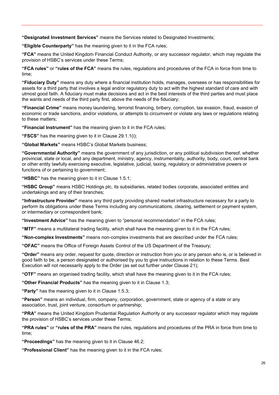**"Designated Investment Services"** means the Services related to Designated Investments;

**"Eligible Counterparty"** has the meaning given to it in the FCA rules;

**"FCA"** means the United Kingdom Financial Conduct Authority, or any successor regulator, which may regulate the provision of HSBC's services under these Terms;

**"FCA rules"** or **"rules of the FCA"** means the rules, regulations and procedures of the FCA in force from time to time;

**"Fiduciary Duty"** means any duty where a financial institution holds, manages, oversees or has responsibilities for assets for a third party that involves a legal and/or regulatory duty to act with the highest standard of care and with utmost good faith. A fiduciary must make decisions and act in the best interests of the third parties and must place the wants and needs of the third party first, above the needs of the fiduciary;

**"Financial Crime"** means money laundering, terrorist financing, bribery, corruption, tax evasion, fraud, evasion of economic or trade sanctions, and/or violations, or attempts to circumvent or violate any laws or regulations relating to these matters;

**"Financial Instrument"** has the meaning given to it in the FCA rules;

**"FSCS"** has the meaning given to it in Clause 29.1.1(i);

**"Global Markets"** means HSBC's Global Markets business;

**"Governmental Authority"** means the government of any jurisdiction, or any political subdivision thereof, whether provincial, state or local, and any department, ministry, agency, instrumentality, authority, body, court, central bank or other entity lawfully exercising executive, legislative, judicial, taxing, regulatory or administrative powers or functions of or pertaining to government;

**"HSBC"** has the meaning given to it in Clause 1.5.1;

**"HSBC Group"** means HSBC Holdings plc, its subsidiaries, related bodies corporate, associated entities and undertakings and any of their branches;

**"Infrastructure Provider"** means any third party providing shared market infrastructure necessary for a party to perform its obligations under these Terms including any communications, clearing, settlement or payment system, or intermediary or correspondent bank;

**"Investment Advice"** has the meaning given to "personal recommendation" in the FCA rules;

**"MTF"** means a multilateral trading facility, which shall have the meaning given to it in the FCA rules;

**"Non-complex Investments"** means non-complex investments that are described under the FCA rules;

**"OFAC"** means the Office of Foreign Assets Control of the US Department of the Treasury;

**"Order"** means any order, request for quote, direction or instruction from you or any person who is, or is believed in good faith to be, a person designated or authorised by you to give instructions in relation to these Terms. Best Execution will not necessarily apply to the Order (as set out further under Clause 21);

**"OTF"** means an organised trading facility, which shall have the meaning given to it in the FCA rules;

**"Other Financial Products"** has the meaning given to it in Clause 1.3;

**"Party"** has the meaning given to it in Clause 1.5.3;

**"Person"** means an individual, firm, company, corporation, government, state or agency of a state or any association, trust, joint venture, consortium or partnership;

**"PRA"** means the United Kingdom Prudential Regulation Authority or any successor regulator which may regulate the provision of HSBC's services under these Terms;

**"PRA rules"** or **"rules of the PRA"** means the rules, regulations and procedures of the PRA in force from time to time;

**"Proceedings"** has the meaning given to it in Clause 46.2;

**"Professional Client"** has the meaning given to it in the FCA rules;